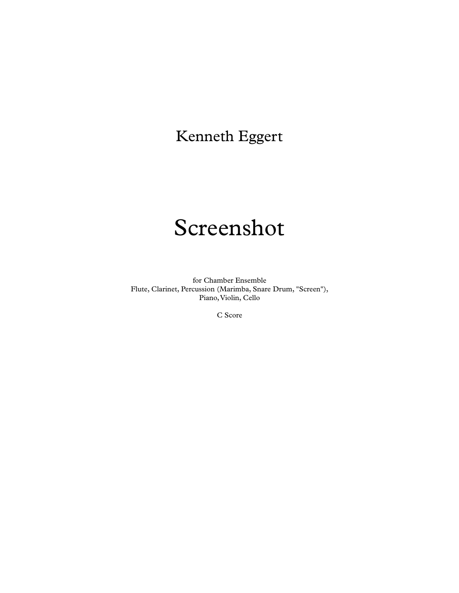## Kenneth Eggert

# Screenshot

for Chamber Ensemble Flute, Clarinet, Percussion (Marimba, Snare Drum, "Screen"), Piano, Violin, Cello

C Score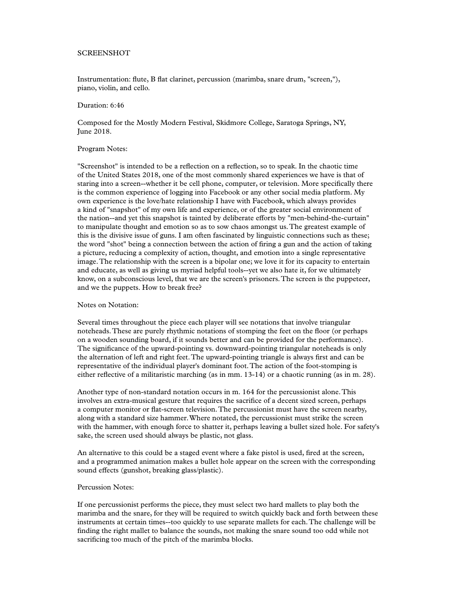#### SCREENSHOT

Instrumentation: flute, B flat clarinet, percussion (marimba, snare drum, "screen,"), piano, violin, and cello.

#### Duration: 6:46

Composed for the Mostly Modern Festival, Skidmore College, Saratoga Springs, NY, June 2018.

#### Program Notes:

"Screenshot" is intended to be a reflection on areflection, so to speak. In the chaotic time of the United States 2018, one of the most commonly shared experiences we have is that of staring into a screen--whether it be cell phone, computer, or television. More specifically there is the common experience of logging into Facebook or any other social media platform. My own experience is the love/hate relationship I have with Facebook, which always provides a kind of "snapshot" of my own life and experience, or of the greater social environment of the nation--and yet this snapshot is tainted by deliberate efforts by "men-behind-the-curtain" to manipulate thought and emotion so as to sow chaos amongst us.The greatest example of this is the divisive issue of guns. I am often fascinated by linguistic connections such as these; the word "shot" being a connection between the action of firing a gun and the action of taking a picture, reducing a complexity of action, thought, and emotion into a single representative image.The relationship with the screen is a bipolar one; we love it for its capacity to entertain and educate, as well as giving us myriad helpful tools--yet we also hate it, for we ultimately know, on a subconscious level, that we are the screen's prisoners.The screen is the puppeteer, and we the puppets. How to break free?

### Notes on Notation:

Several times throughout the piece each player will see notations that involve triangular noteheads.These are purely rhythmic notations of stomping the feet on the floor (or perhaps on a wooden sounding board, if it sounds better and can be provided for the performance). The significance of the upward-pointing vs. downward-pointing triangular noteheads is only the alternation of left and right feet.The upward-pointing triangle is always first and can be representative of the individual player's dominant foot.The action of the foot-stomping is either reflective of a militaristic marching (as in mm. 13-14) or a chaotic running (as in m. 28).

Another type of non-standard notation occurs in m. 164 for the percussionist alone.This involves an extra-musical gesture that requires the sacrifice of a decent sized screen, perhaps a computer monitor or flat-screen television.The percussionist must have the screen nearby, along with astandard size hammer.Where notated, the percussionist must strike the screen with the hammer, with enough force to shatter it, perhaps leaving a bullet sized hole. For safety's sake, the screen used should always be plastic, not glass.

An alternative to this could be a staged event where a fake pistol is used, fired at the screen, and a programmed animation makes a bullet hole appear on the screen with the corresponding sound effects (gunshot, breaking glass/plastic).

#### Percussion Notes:

If one percussionist performs the piece, they must select two hard mallets to play both the marimba and the snare, for they will be required to switch quickly back and forth between these instruments at certain times--too quickly to use separate mallets for each. The challenge will be finding the right mallet to balance the sounds, not making the snare sound too odd while not sacrificing too much of the pitch of the marimba blocks.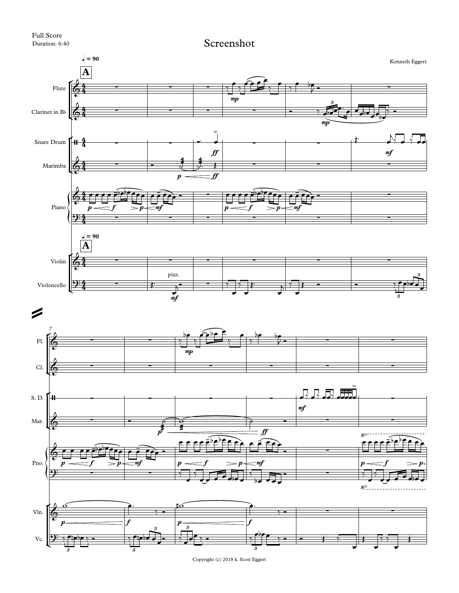Full Score Duration: 6:40

Screenshot



Copyright (c) 2018 k. Scott Eggert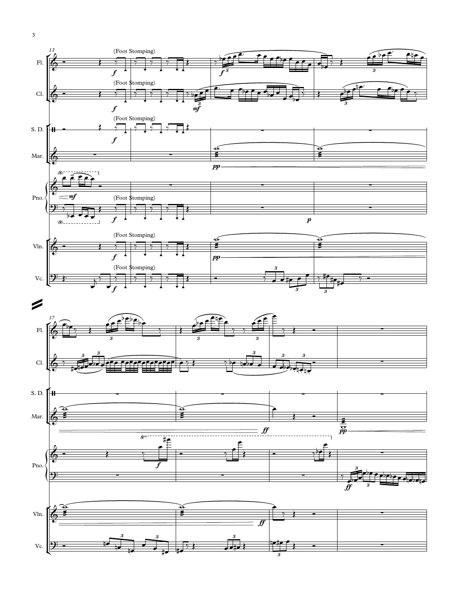



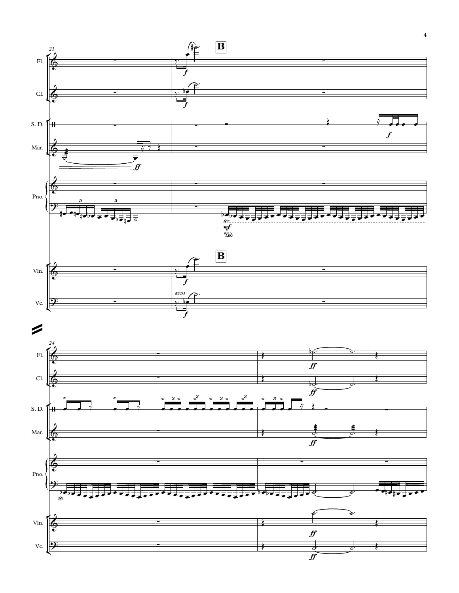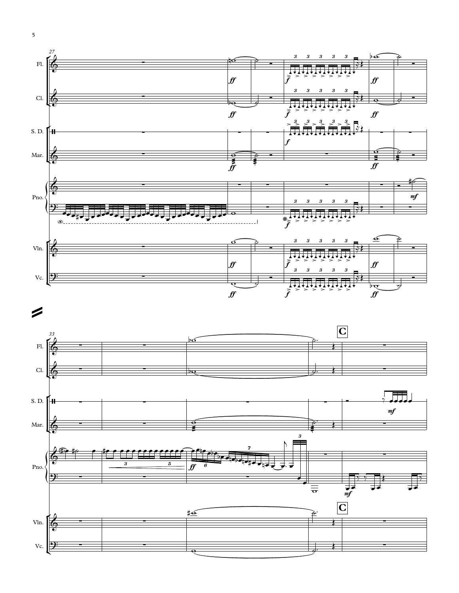![](_page_5_Figure_0.jpeg)

![](_page_5_Figure_1.jpeg)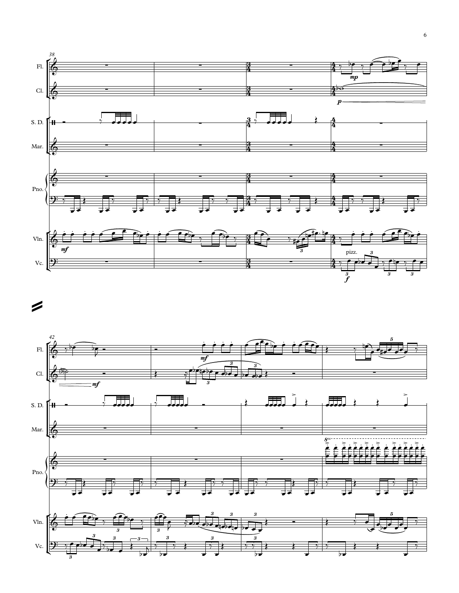![](_page_6_Figure_0.jpeg)

![](_page_6_Figure_1.jpeg)

![](_page_6_Figure_2.jpeg)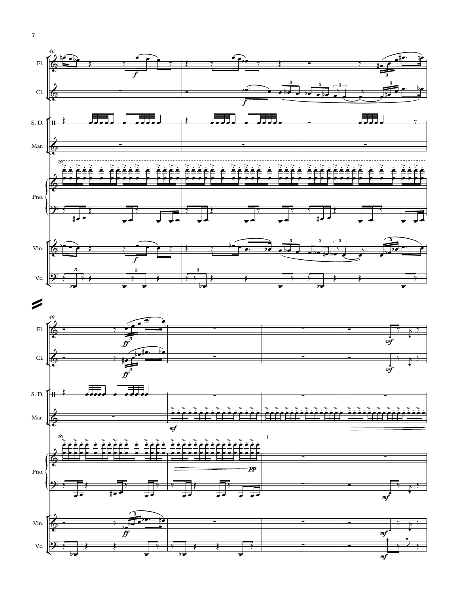![](_page_7_Figure_0.jpeg)

![](_page_7_Figure_1.jpeg)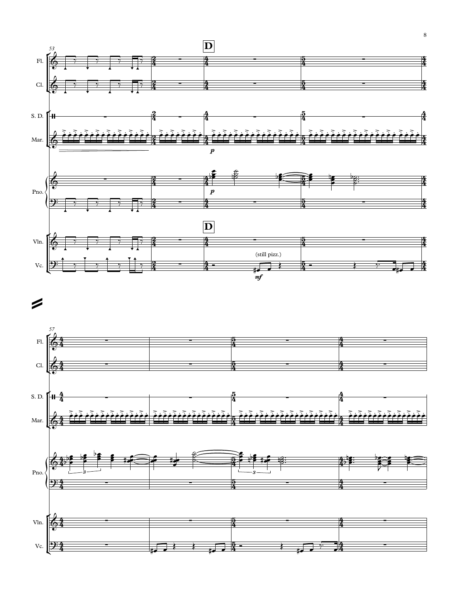![](_page_8_Figure_0.jpeg)

=

![](_page_8_Figure_2.jpeg)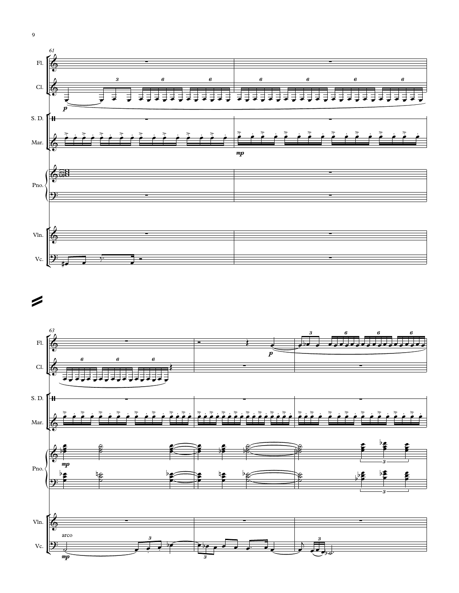![](_page_9_Figure_0.jpeg)

 $\boldsymbol{z}$ 

![](_page_9_Figure_2.jpeg)

 $\overline{9}$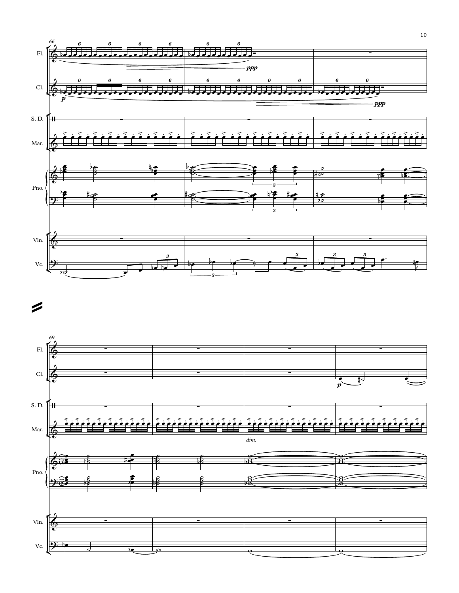![](_page_10_Figure_0.jpeg)

![](_page_10_Figure_1.jpeg)

![](_page_10_Figure_2.jpeg)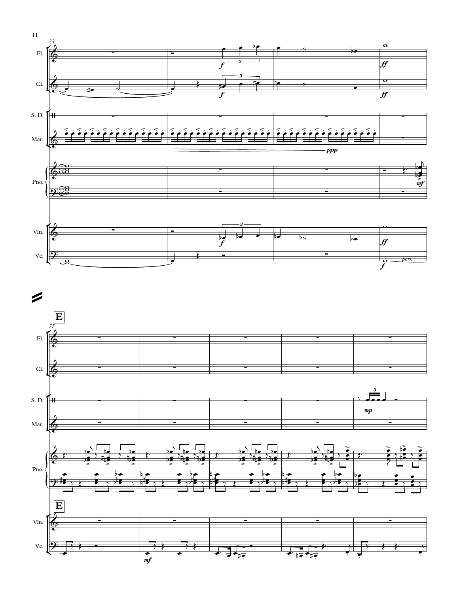![](_page_11_Figure_0.jpeg)

![](_page_11_Figure_1.jpeg)

![](_page_11_Figure_2.jpeg)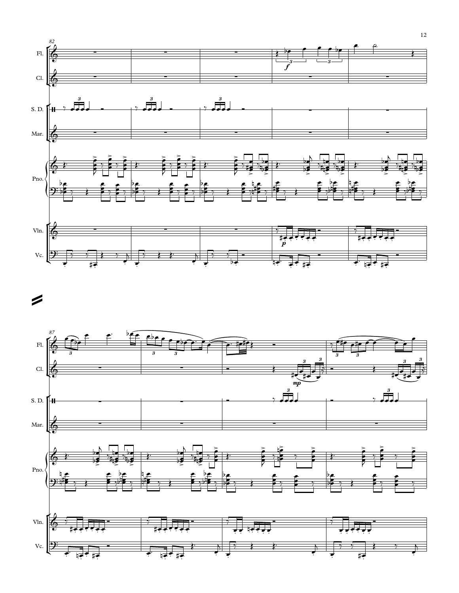![](_page_12_Figure_0.jpeg)

![](_page_12_Figure_1.jpeg)

![](_page_12_Figure_2.jpeg)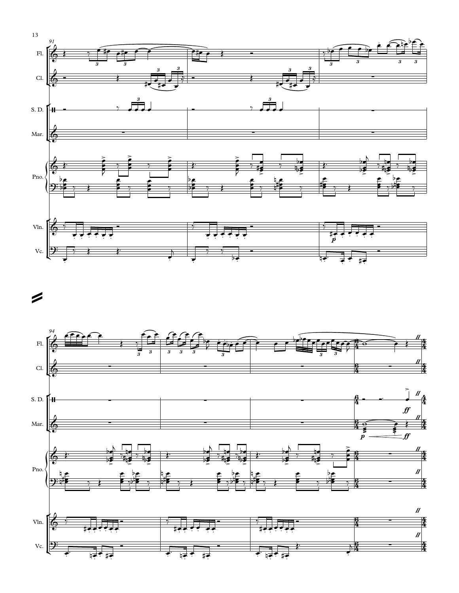![](_page_13_Figure_0.jpeg)

 $\rightarrow$ 

![](_page_13_Figure_2.jpeg)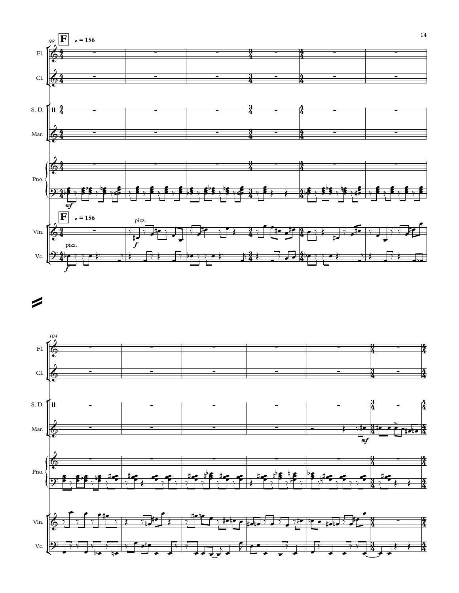![](_page_14_Figure_0.jpeg)

![](_page_14_Figure_1.jpeg)

![](_page_14_Figure_2.jpeg)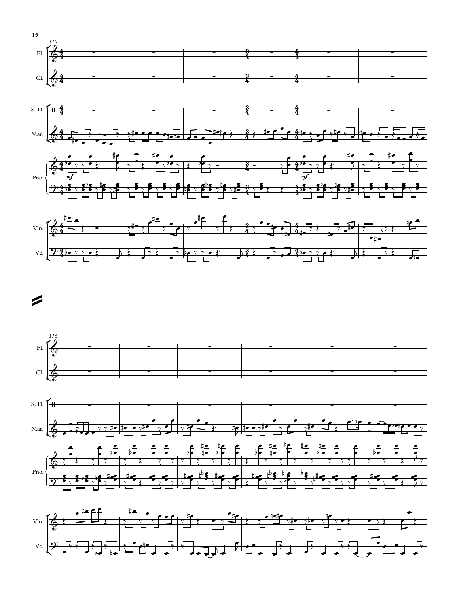![](_page_15_Figure_0.jpeg)

![](_page_15_Figure_1.jpeg)

![](_page_15_Figure_2.jpeg)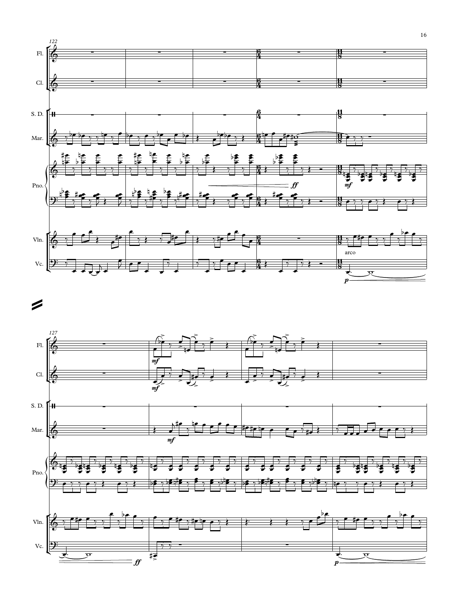![](_page_16_Figure_0.jpeg)

![](_page_16_Figure_1.jpeg)

![](_page_16_Figure_2.jpeg)

 $p \longrightarrow$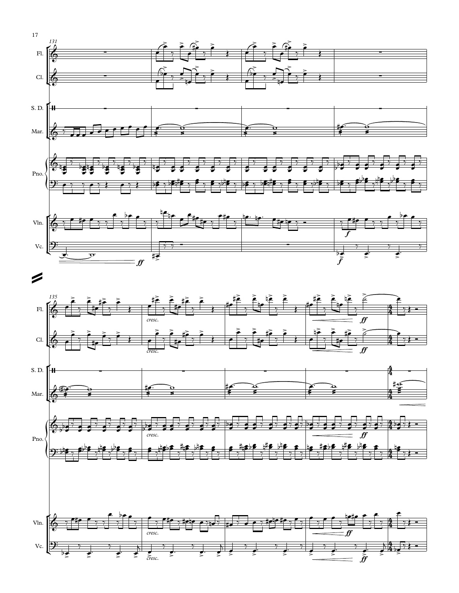![](_page_17_Figure_0.jpeg)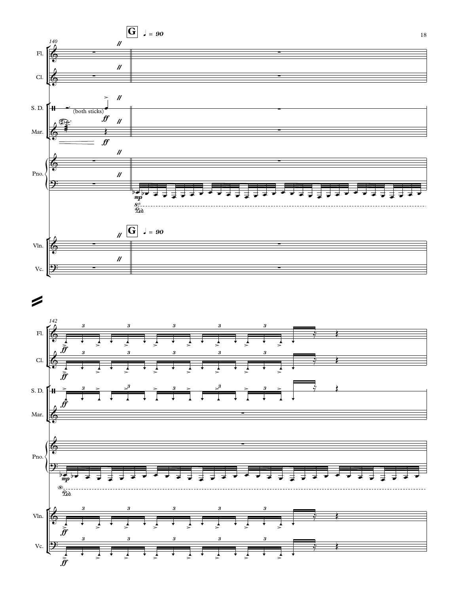![](_page_18_Figure_0.jpeg)

![](_page_18_Figure_1.jpeg)

![](_page_18_Figure_2.jpeg)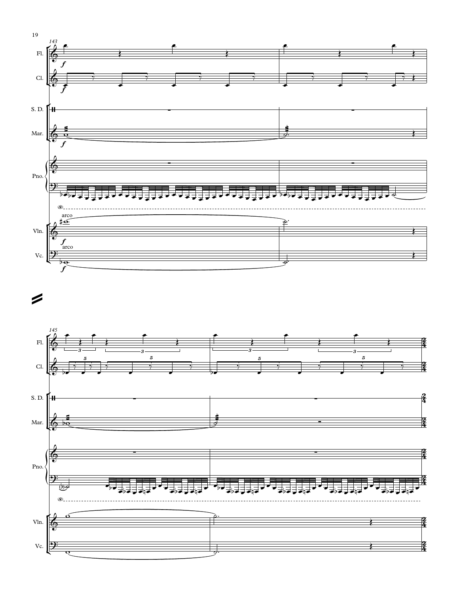![](_page_19_Figure_0.jpeg)

 $\overline{\phantom{a}}$ 

![](_page_19_Figure_2.jpeg)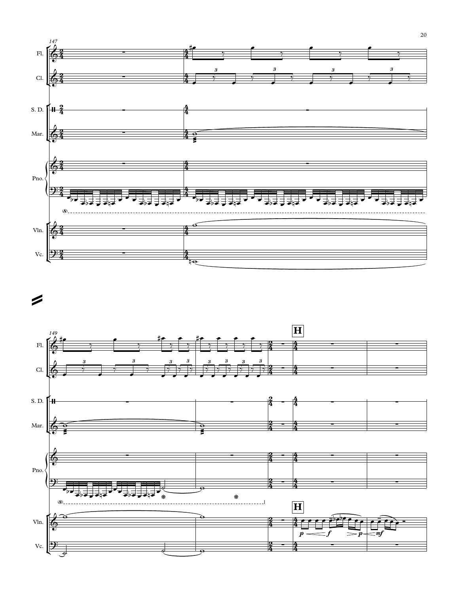![](_page_20_Figure_0.jpeg)

=

![](_page_20_Figure_2.jpeg)

20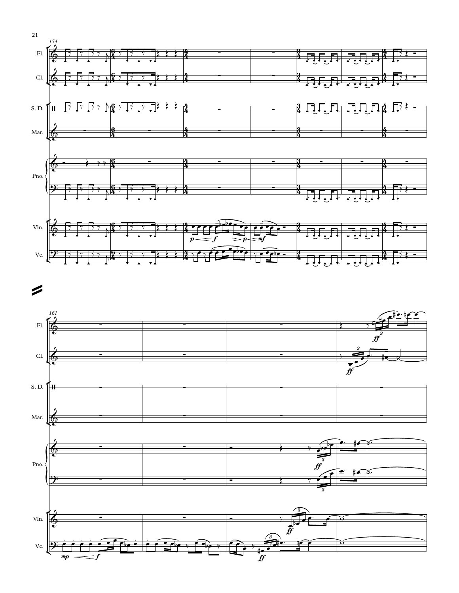![](_page_21_Figure_0.jpeg)

![](_page_21_Figure_1.jpeg)

![](_page_21_Figure_2.jpeg)